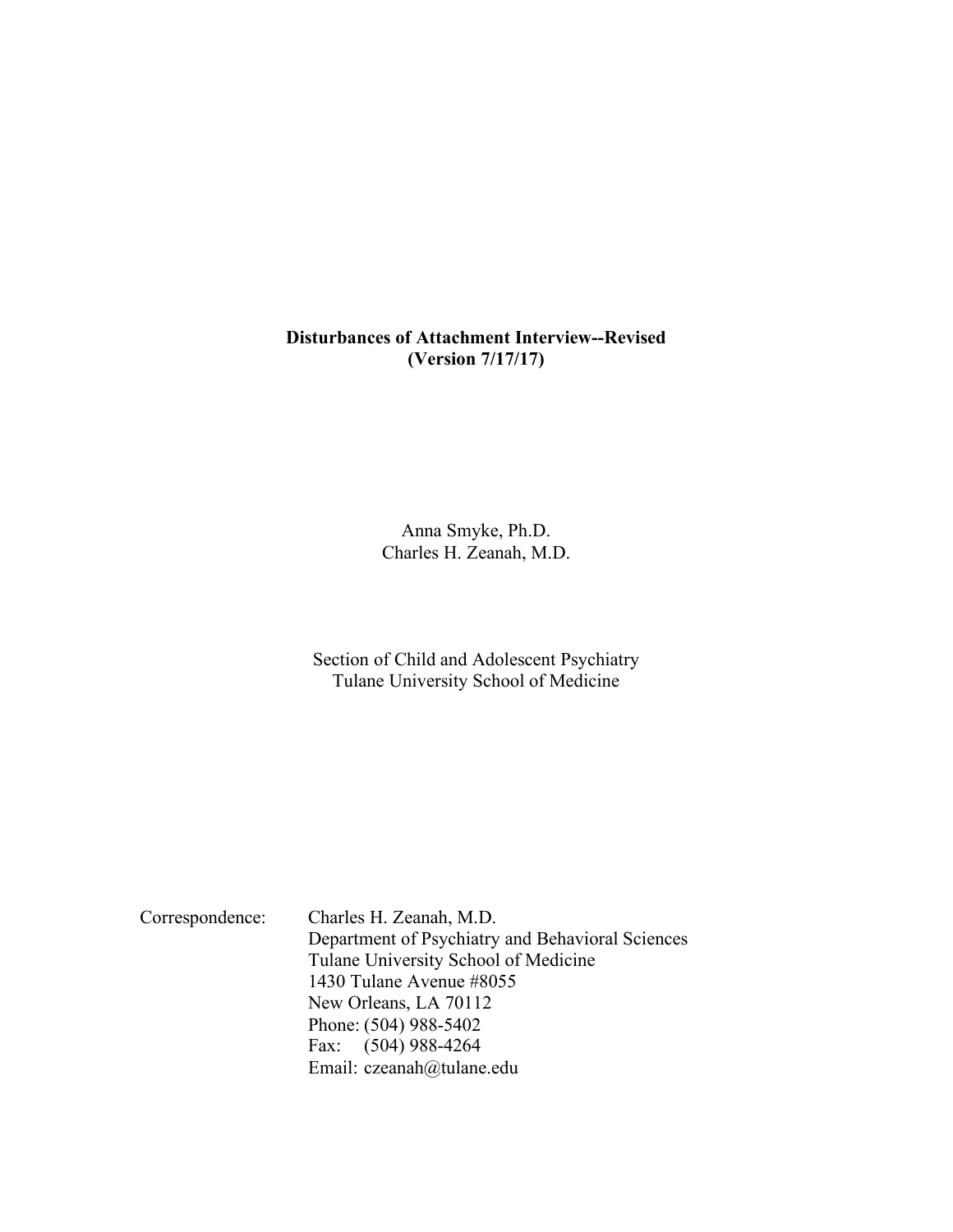#### **Disturbances of Attachment Interview--Revised (Version 7/17/17)**

Anna Smyke, Ph.D. Charles H. Zeanah, M.D.

Section of Child and Adolescent Psychiatry Tulane University School of Medicine

Correspondence: Charles H. Zeanah, M.D. Department of Psychiatry and Behavioral Sciences Tulane University School of Medicine 1430 Tulane Avenue #8055 New Orleans, LA 70112 Phone: (504) 988-5402 Fax: (504) 988-4264 Email: czeanah@tulane.edu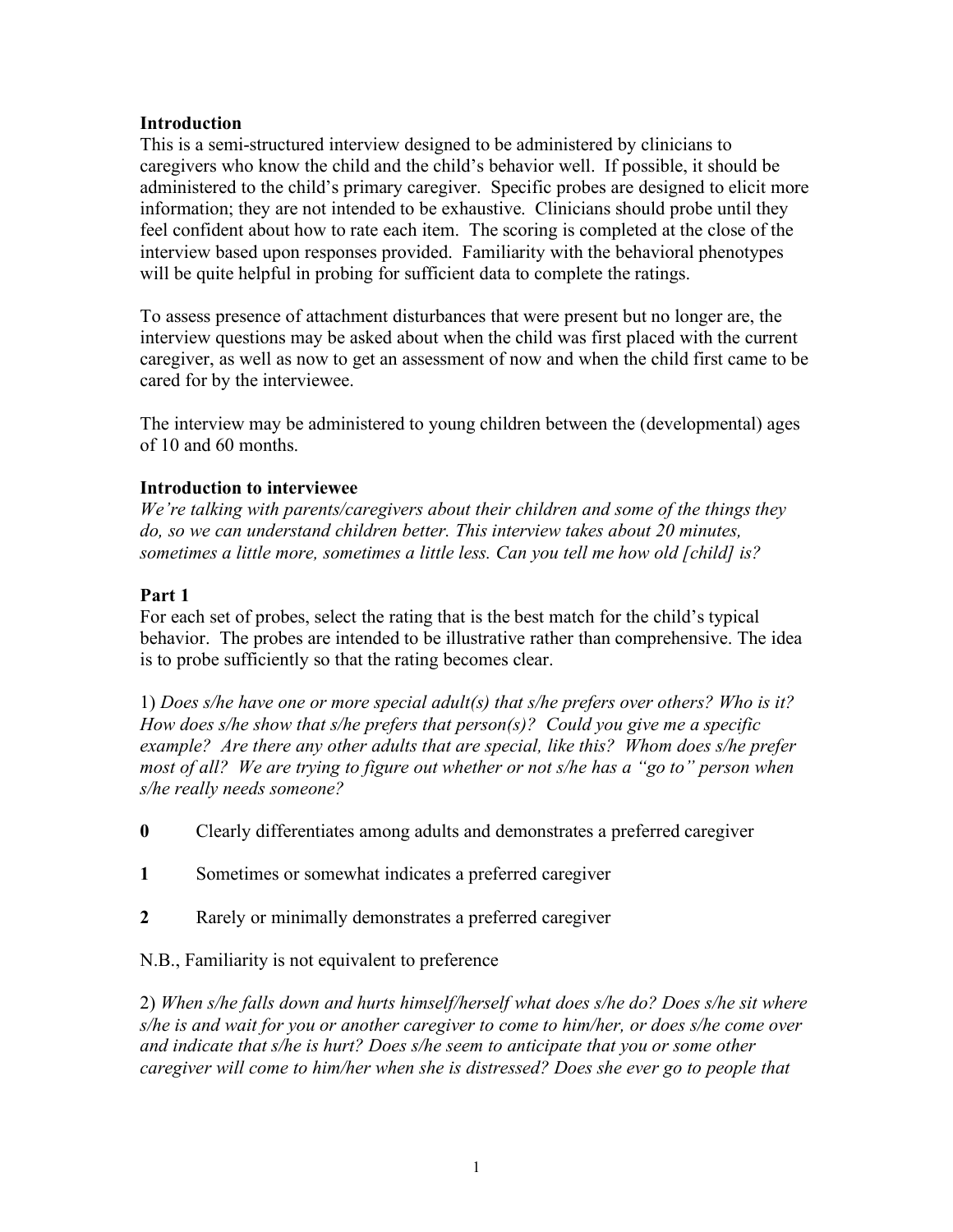### **Introduction**

This is a semi-structured interview designed to be administered by clinicians to caregivers who know the child and the child's behavior well. If possible, it should be administered to the child's primary caregiver. Specific probes are designed to elicit more information; they are not intended to be exhaustive. Clinicians should probe until they feel confident about how to rate each item. The scoring is completed at the close of the interview based upon responses provided. Familiarity with the behavioral phenotypes will be quite helpful in probing for sufficient data to complete the ratings.

To assess presence of attachment disturbances that were present but no longer are, the interview questions may be asked about when the child was first placed with the current caregiver, as well as now to get an assessment of now and when the child first came to be cared for by the interviewee.

The interview may be administered to young children between the (developmental) ages of 10 and 60 months.

### **Introduction to interviewee**

*We're talking with parents/caregivers about their children and some of the things they do, so we can understand children better. This interview takes about 20 minutes, sometimes a little more, sometimes a little less. Can you tell me how old [child] is?*

### **Part 1**

For each set of probes, select the rating that is the best match for the child's typical behavior. The probes are intended to be illustrative rather than comprehensive. The idea is to probe sufficiently so that the rating becomes clear.

1) *Does s/he have one or more special adult(s) that s/he prefers over others? Who is it? How does s/he show that s/he prefers that person(s)? Could you give me a specific example? Are there any other adults that are special, like this? Whom does s/he prefer most of all? We are trying to figure out whether or not s/he has a "go to" person when s/he really needs someone?*

- **0** Clearly differentiates among adults and demonstrates a preferred caregiver
- **1** Sometimes or somewhat indicates a preferred caregiver
- **2** Rarely or minimally demonstrates a preferred caregiver

N.B., Familiarity is not equivalent to preference

2) *When s/he falls down and hurts himself/herself what does s/he do? Does s/he sit where s/he is and wait for you or another caregiver to come to him/her, or does s/he come over and indicate that s/he is hurt? Does s/he seem to anticipate that you or some other caregiver will come to him/her when she is distressed? Does she ever go to people that*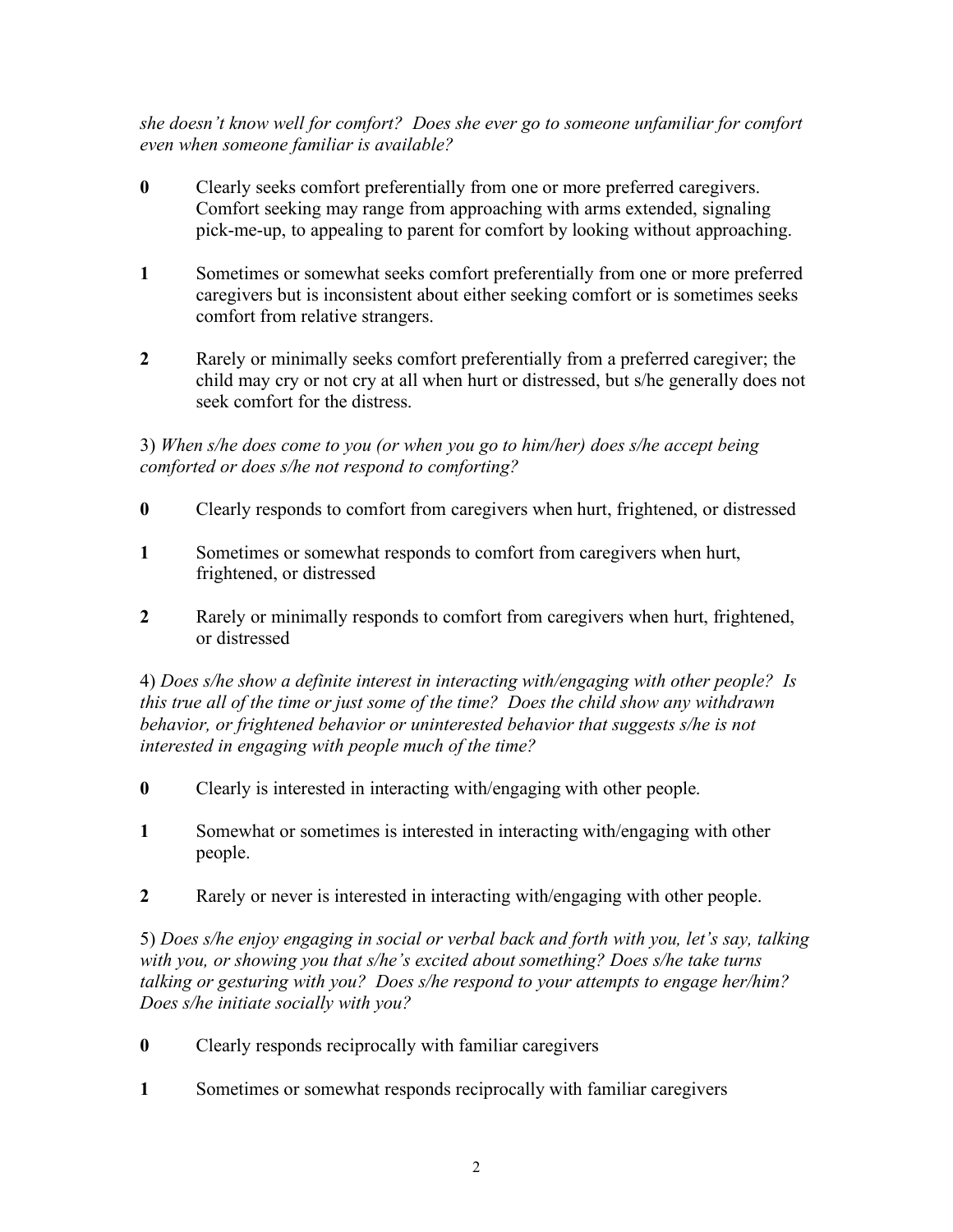*she doesn't know well for comfort? Does she ever go to someone unfamiliar for comfort even when someone familiar is available?* 

- **0** Clearly seeks comfort preferentially from one or more preferred caregivers. Comfort seeking may range from approaching with arms extended, signaling pick-me-up, to appealing to parent for comfort by looking without approaching.
- **1** Sometimes or somewhat seeks comfort preferentially from one or more preferred caregivers but is inconsistent about either seeking comfort or is sometimes seeks comfort from relative strangers.
- **2** Rarely or minimally seeks comfort preferentially from a preferred caregiver; the child may cry or not cry at all when hurt or distressed, but s/he generally does not seek comfort for the distress.

3) *When s/he does come to you (or when you go to him/her) does s/he accept being comforted or does s/he not respond to comforting?*

- **0** Clearly responds to comfort from caregivers when hurt, frightened, or distressed
- **1** Sometimes or somewhat responds to comfort from caregivers when hurt, frightened, or distressed
- **2** Rarely or minimally responds to comfort from caregivers when hurt, frightened, or distressed

4) *Does s/he show a definite interest in interacting with/engaging with other people? Is this true all of the time or just some of the time? Does the child show any withdrawn behavior, or frightened behavior or uninterested behavior that suggests s/he is not interested in engaging with people much of the time?* 

- **0** Clearly is interested in interacting with/engaging with other people.
- **1** Somewhat or sometimes is interested in interacting with/engaging with other people.
- **2** Rarely or never is interested in interacting with/engaging with other people.

5) *Does s/he enjoy engaging in social or verbal back and forth with you, let's say, talking with you, or showing you that s/he's excited about something? Does s/he take turns talking or gesturing with you? Does s/he respond to your attempts to engage her/him? Does s/he initiate socially with you?* 

- **0** Clearly responds reciprocally with familiar caregivers
- **1** Sometimes or somewhat responds reciprocally with familiar caregivers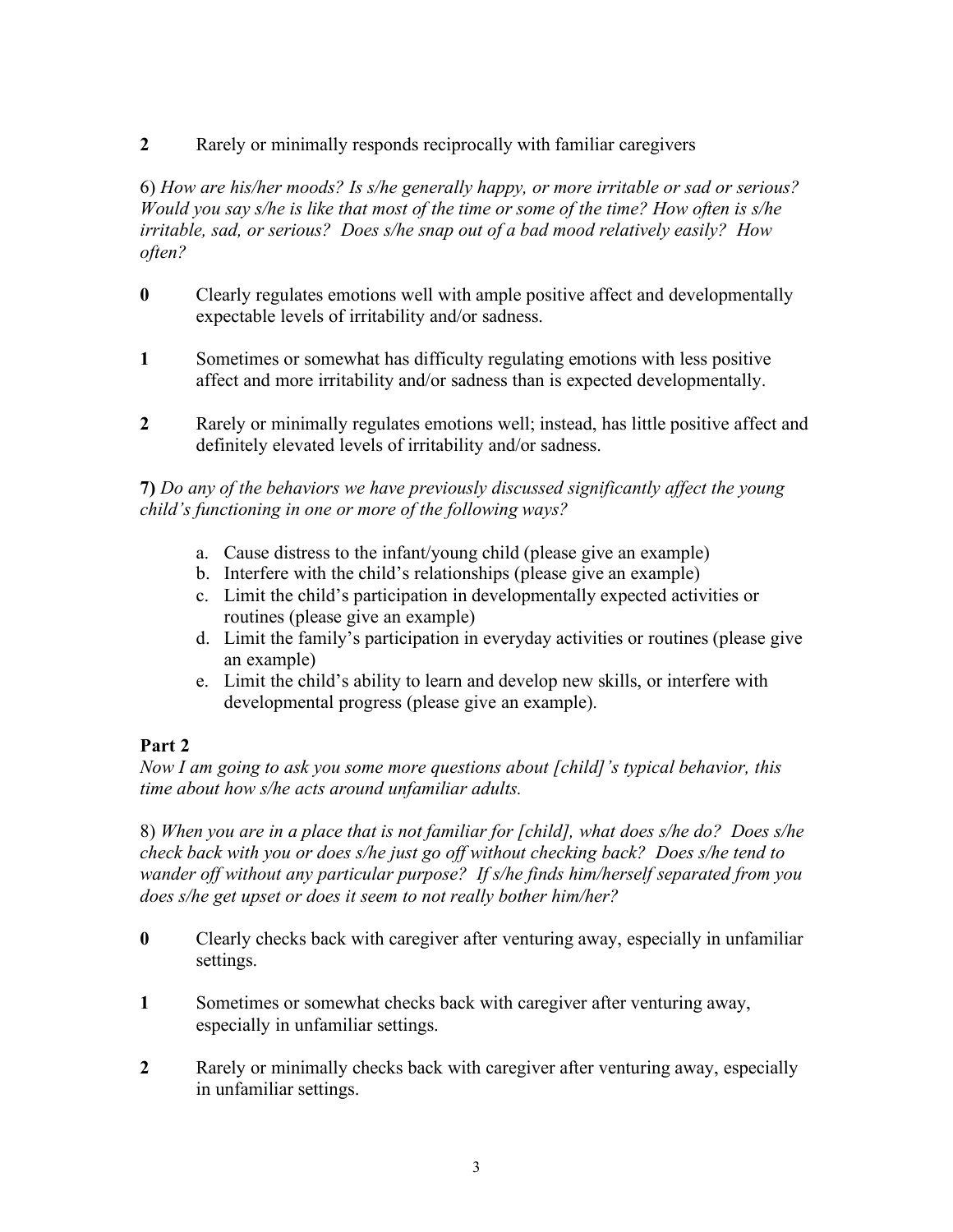**2** Rarely or minimally responds reciprocally with familiar caregivers

6) *How are his/her moods? Is s/he generally happy, or more irritable or sad or serious? Would you say s/he is like that most of the time or some of the time? How often is s/he irritable, sad, or serious? Does s/he snap out of a bad mood relatively easily? How often?*

- **0** Clearly regulates emotions well with ample positive affect and developmentally expectable levels of irritability and/or sadness.
- **1** Sometimes or somewhat has difficulty regulating emotions with less positive affect and more irritability and/or sadness than is expected developmentally.
- **2** Rarely or minimally regulates emotions well; instead, has little positive affect and definitely elevated levels of irritability and/or sadness.

## **7)** *Do any of the behaviors we have previously discussed significantly affect the young child's functioning in one or more of the following ways?*

- a. Cause distress to the infant/young child (please give an example)
- b. Interfere with the child's relationships (please give an example)
- c. Limit the child's participation in developmentally expected activities or routines (please give an example)
- d. Limit the family's participation in everyday activities or routines (please give an example)
- e. Limit the child's ability to learn and develop new skills, or interfere with developmental progress (please give an example).

# **Part 2**

*Now I am going to ask you some more questions about [child]'s typical behavior, this time about how s/he acts around unfamiliar adults.*

8) *When you are in a place that is not familiar for [child], what does s/he do? Does s/he check back with you or does s/he just go off without checking back? Does s/he tend to wander off without any particular purpose? If s/he finds him/herself separated from you does s/he get upset or does it seem to not really bother him/her?* 

- **0** Clearly checks back with caregiver after venturing away, especially in unfamiliar settings.
- **1** Sometimes or somewhat checks back with caregiver after venturing away, especially in unfamiliar settings.
- **2** Rarely or minimally checks back with caregiver after venturing away, especially in unfamiliar settings.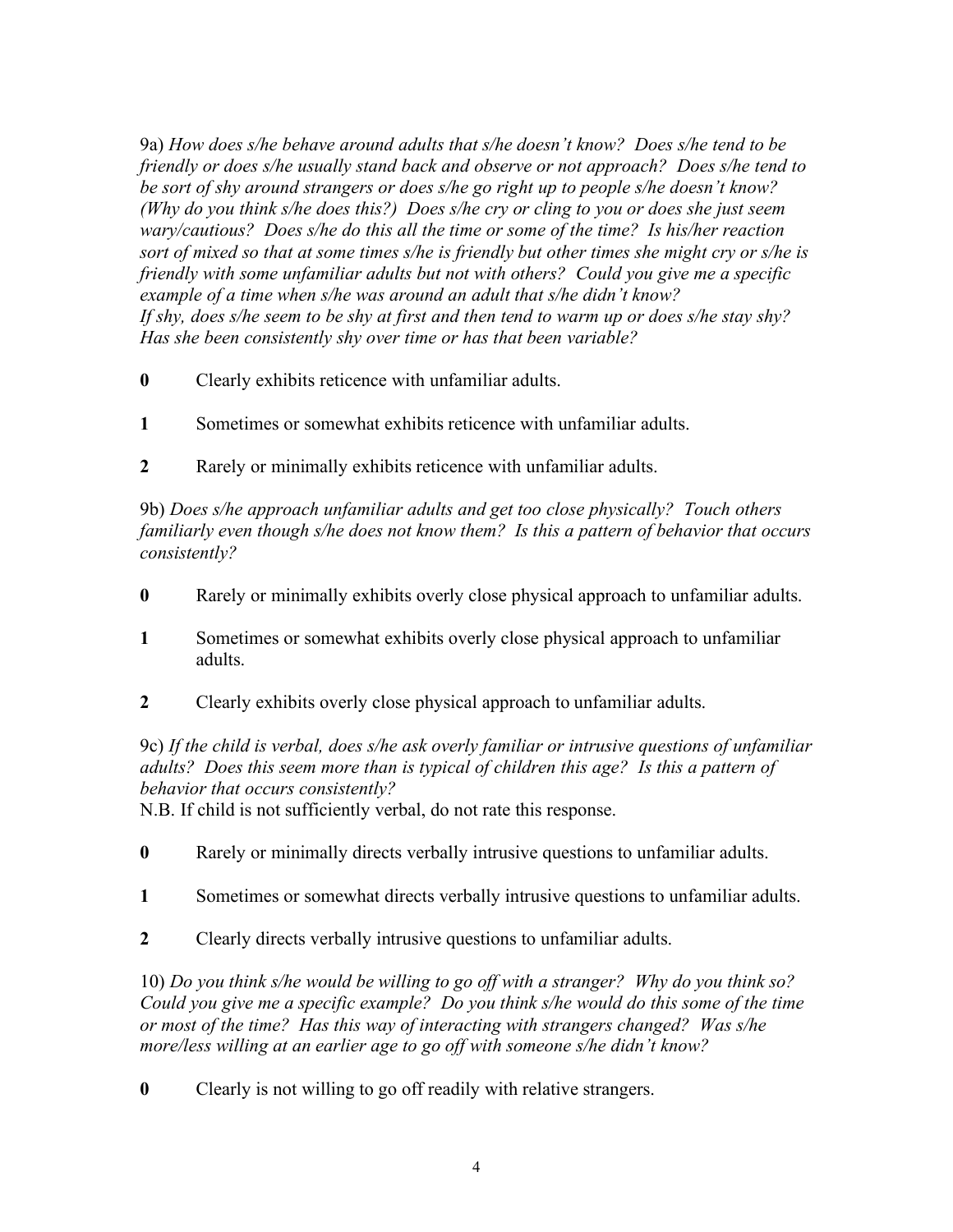9a) *How does s/he behave around adults that s/he doesn't know? Does s/he tend to be friendly or does s/he usually stand back and observe or not approach? Does s/he tend to be sort of shy around strangers or does s/he go right up to people s/he doesn't know? (Why do you think s/he does this?) Does s/he cry or cling to you or does she just seem wary/cautious? Does s/he do this all the time or some of the time? Is his/her reaction sort of mixed so that at some times s/he is friendly but other times she might cry or s/he is friendly with some unfamiliar adults but not with others? Could you give me a specific example of a time when s/he was around an adult that s/he didn't know? If shy, does s/he seem to be shy at first and then tend to warm up or does s/he stay shy? Has she been consistently shy over time or has that been variable?*

- **0** Clearly exhibits reticence with unfamiliar adults.
- **1** Sometimes or somewhat exhibits reticence with unfamiliar adults.
- **2** Rarely or minimally exhibits reticence with unfamiliar adults.

9b) *Does s/he approach unfamiliar adults and get too close physically? Touch others familiarly even though s/he does not know them? Is this a pattern of behavior that occurs consistently?*

- **0** Rarely or minimally exhibits overly close physical approach to unfamiliar adults.
- **1** Sometimes or somewhat exhibits overly close physical approach to unfamiliar adults.
- **2** Clearly exhibits overly close physical approach to unfamiliar adults.

9c) *If the child is verbal, does s/he ask overly familiar or intrusive questions of unfamiliar adults? Does this seem more than is typical of children this age? Is this a pattern of behavior that occurs consistently?*

N.B. If child is not sufficiently verbal, do not rate this response.

- **0** Rarely or minimally directs verbally intrusive questions to unfamiliar adults.
- **1** Sometimes or somewhat directs verbally intrusive questions to unfamiliar adults.
- **2** Clearly directs verbally intrusive questions to unfamiliar adults.

10) *Do you think s/he would be willing to go off with a stranger? Why do you think so? Could you give me a specific example? Do you think s/he would do this some of the time or most of the time? Has this way of interacting with strangers changed? Was s/he more/less willing at an earlier age to go off with someone s/he didn't know?*

**0** Clearly is not willing to go off readily with relative strangers.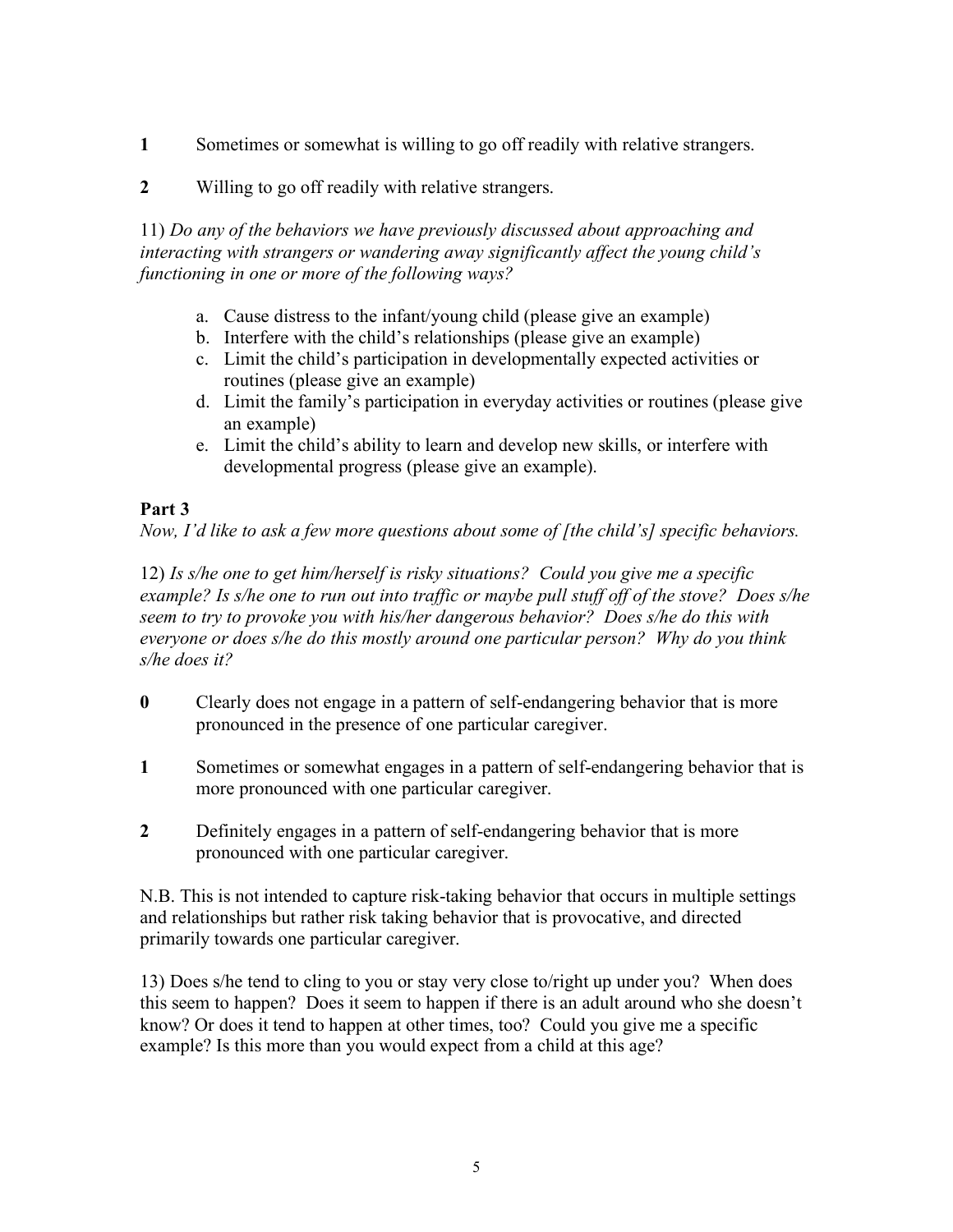- **1** Sometimes or somewhat is willing to go off readily with relative strangers.
- **2** Willing to go off readily with relative strangers.

11) *Do any of the behaviors we have previously discussed about approaching and interacting with strangers or wandering away significantly affect the young child's functioning in one or more of the following ways?* 

- a. Cause distress to the infant/young child (please give an example)
- b. Interfere with the child's relationships (please give an example)
- c. Limit the child's participation in developmentally expected activities or routines (please give an example)
- d. Limit the family's participation in everyday activities or routines (please give an example)
- e. Limit the child's ability to learn and develop new skills, or interfere with developmental progress (please give an example).

## **Part 3**

*Now, I'd like to ask a few more questions about some of [the child's] specific behaviors.*

12) *Is s/he one to get him/herself is risky situations? Could you give me a specific example? Is s/he one to run out into traffic or maybe pull stuff off of the stove? Does s/he seem to try to provoke you with his/her dangerous behavior? Does s/he do this with everyone or does s/he do this mostly around one particular person? Why do you think s/he does it?* 

- **0** Clearly does not engage in a pattern of self-endangering behavior that is more pronounced in the presence of one particular caregiver.
- **1** Sometimes or somewhat engages in a pattern of self-endangering behavior that is more pronounced with one particular caregiver.
- **2** Definitely engages in a pattern of self-endangering behavior that is more pronounced with one particular caregiver.

N.B. This is not intended to capture risk-taking behavior that occurs in multiple settings and relationships but rather risk taking behavior that is provocative, and directed primarily towards one particular caregiver.

13) Does s/he tend to cling to you or stay very close to/right up under you? When does this seem to happen? Does it seem to happen if there is an adult around who she doesn't know? Or does it tend to happen at other times, too? Could you give me a specific example? Is this more than you would expect from a child at this age?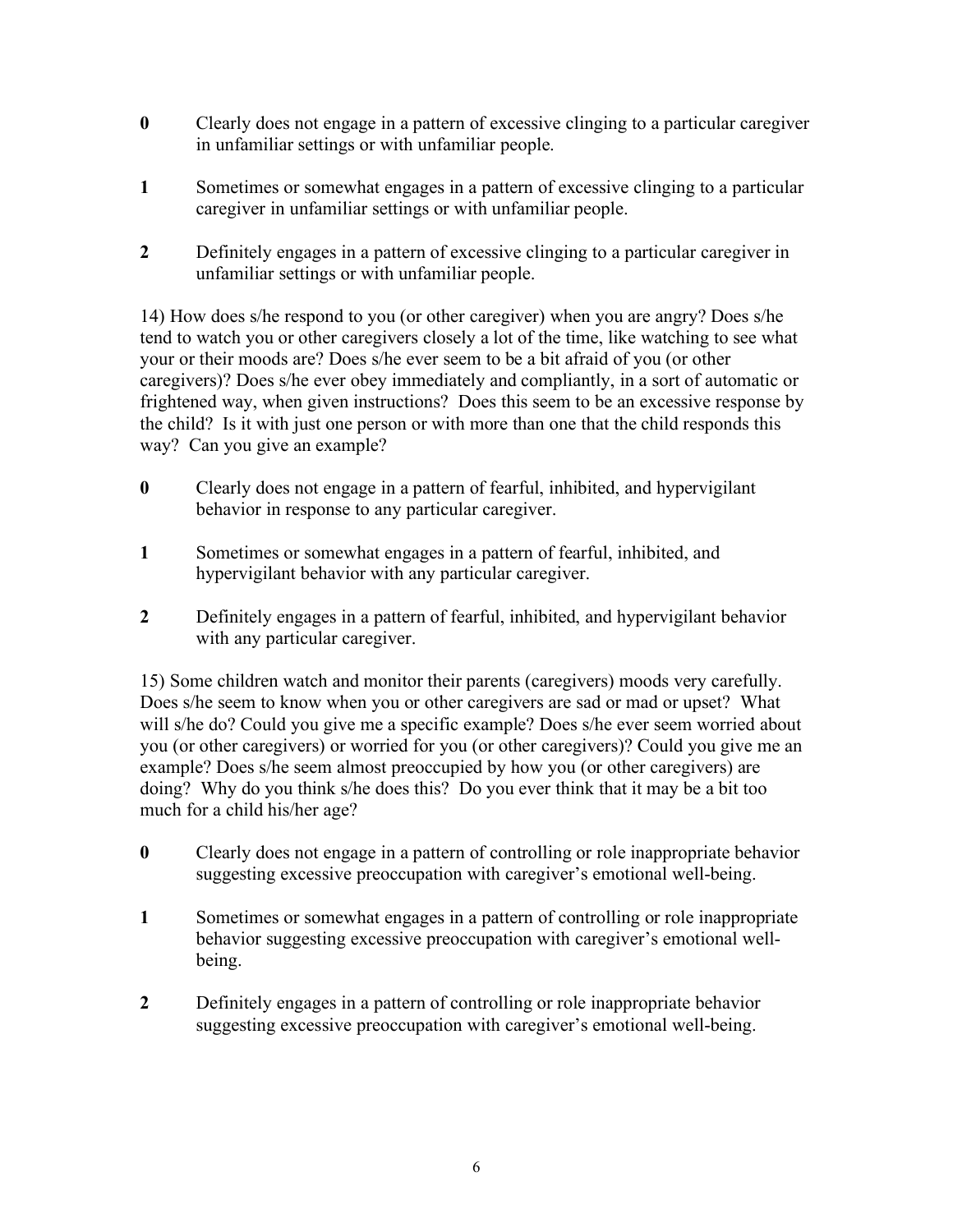- **0** Clearly does not engage in a pattern of excessive clinging to a particular caregiver in unfamiliar settings or with unfamiliar people.
- **1** Sometimes or somewhat engages in a pattern of excessive clinging to a particular caregiver in unfamiliar settings or with unfamiliar people.
- **2** Definitely engages in a pattern of excessive clinging to a particular caregiver in unfamiliar settings or with unfamiliar people.

14) How does s/he respond to you (or other caregiver) when you are angry? Does s/he tend to watch you or other caregivers closely a lot of the time, like watching to see what your or their moods are? Does s/he ever seem to be a bit afraid of you (or other caregivers)? Does s/he ever obey immediately and compliantly, in a sort of automatic or frightened way, when given instructions? Does this seem to be an excessive response by the child? Is it with just one person or with more than one that the child responds this way? Can you give an example?

- **0** Clearly does not engage in a pattern of fearful, inhibited, and hypervigilant behavior in response to any particular caregiver.
- **1** Sometimes or somewhat engages in a pattern of fearful, inhibited, and hypervigilant behavior with any particular caregiver.
- **2** Definitely engages in a pattern of fearful, inhibited, and hypervigilant behavior with any particular caregiver.

15) Some children watch and monitor their parents (caregivers) moods very carefully. Does s/he seem to know when you or other caregivers are sad or mad or upset? What will s/he do? Could you give me a specific example? Does s/he ever seem worried about you (or other caregivers) or worried for you (or other caregivers)? Could you give me an example? Does s/he seem almost preoccupied by how you (or other caregivers) are doing? Why do you think s/he does this? Do you ever think that it may be a bit too much for a child his/her age?

- **0** Clearly does not engage in a pattern of controlling or role inappropriate behavior suggesting excessive preoccupation with caregiver's emotional well-being.
- **1** Sometimes or somewhat engages in a pattern of controlling or role inappropriate behavior suggesting excessive preoccupation with caregiver's emotional wellbeing.
- **2** Definitely engages in a pattern of controlling or role inappropriate behavior suggesting excessive preoccupation with caregiver's emotional well-being.